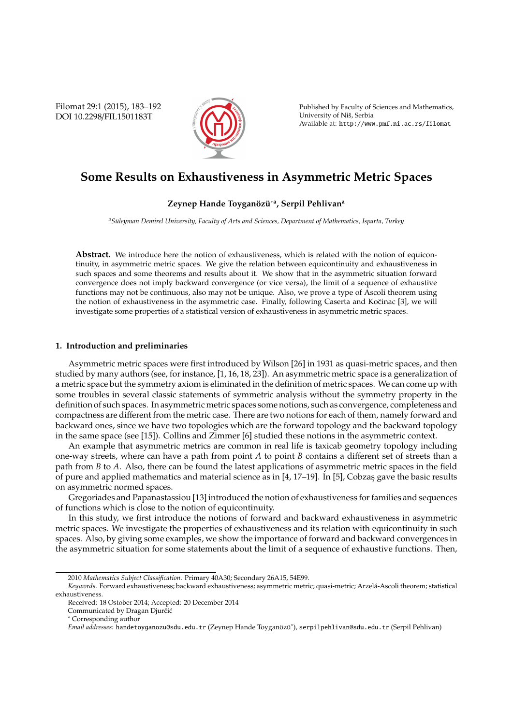Filomat 29:1 (2015), 183–192 DOI 10.2298/FIL1501183T



Published by Faculty of Sciences and Mathematics, University of Niš, Serbia Available at: http://www.pmf.ni.ac.rs/filomat

# **Some Results on Exhaustiveness in Asymmetric Metric Spaces**

## **Zeynep Hande Toyganözü<sup>∗a</sup>, Serpil Pehlivan<sup>a</sup>**

*<sup>a</sup>S ¨uleyman Demirel University, Faculty of Arts and Sciences, Department of Mathematics, Isparta, Turkey*

**Abstract.** We introduce here the notion of exhaustiveness, which is related with the notion of equicontinuity, in asymmetric metric spaces. We give the relation between equicontinuity and exhaustiveness in such spaces and some theorems and results about it. We show that in the asymmetric situation forward convergence does not imply backward convergence (or vice versa), the limit of a sequence of exhaustive functions may not be continuous, also may not be unique. Also, we prove a type of Ascoli theorem using the notion of exhaustiveness in the asymmetric case. Finally, following Caserta and Kočinac [3], we will investigate some properties of a statistical version of exhaustiveness in asymmetric metric spaces.

## **1. Introduction and preliminaries**

Asymmetric metric spaces were first introduced by Wilson [26] in 1931 as quasi-metric spaces, and then studied by many authors (see, for instance, [1, 16, 18, 23]). An asymmetric metric space is a generalization of a metric space but the symmetry axiom is eliminated in the definition of metric spaces. We can come up with some troubles in several classic statements of symmetric analysis without the symmetry property in the definition of such spaces. In asymmetric metric spaces some notions, such as convergence, completeness and compactness are different from the metric case. There are two notions for each of them, namely forward and backward ones, since we have two topologies which are the forward topology and the backward topology in the same space (see [15]). Collins and Zimmer [6] studied these notions in the asymmetric context.

An example that asymmetric metrics are common in real life is taxicab geometry topology including one-way streets, where can have a path from point *A* to point *B* contains a different set of streets than a path from *B* to *A*. Also, there can be found the latest applications of asymmetric metric spaces in the field of pure and applied mathematics and material science as in  $[4, 17–19]$ . In  $[5]$ , Cobzas gave the basic results on asymmetric normed spaces.

Gregoriades and Papanastassiou [13] introduced the notion of exhaustiveness for families and sequences of functions which is close to the notion of equicontinuity.

In this study, we first introduce the notions of forward and backward exhaustiveness in asymmetric metric spaces. We investigate the properties of exhaustiveness and its relation with equicontinuity in such spaces. Also, by giving some examples, we show the importance of forward and backward convergences in the asymmetric situation for some statements about the limit of a sequence of exhaustive functions. Then,

<sup>2010</sup> *Mathematics Subject Classification*. Primary 40A30; Secondary 26A15, 54E99.

Keywords. Forward exhaustiveness; backward exhaustiveness; asymmetric metric; quasi-metric; Arzelá-Ascoli theorem; statistical exhaustiveness.

Received: 18 Ostober 2014; Accepted: 20 December 2014

Communicated by Dragan Djurčić

<sup>∗</sup> Corresponding author

*Email addresses:* handetoyganozu@sdu.edu.tr (Zeynep Hande Toyganözü\*), serpilpehlivan@sdu.edu.tr (Serpil Pehlivan)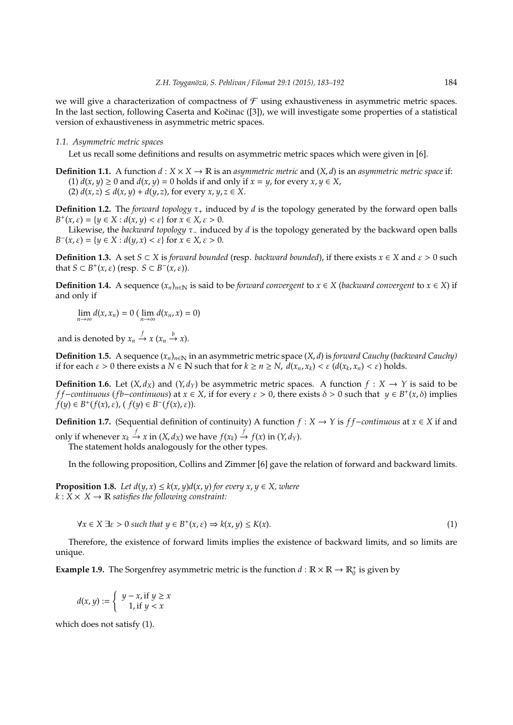we will give a characterization of compactness of  $\mathcal F$  using exhaustiveness in asymmetric metric spaces. In the last section, following Caserta and Kočinac ([3]), we will investigate some properties of a statistical version of exhaustiveness in asymmetric metric spaces.

#### *1.1. Asymmetric metric spaces*

Let us recall some definitions and results on asymmetric metric spaces which were given in [6].

**Definition 1.1.** A function  $d: X \times X \to \mathbb{R}$  is an *asymmetric metric* and  $(X, d)$  is an *asymmetric metric space* if: (1) *d*(*x*, *y*) ≥ 0 and *d*(*x*, *y*) = 0 holds if and only if *x* = *y*, for every *x*, *y* ∈ *X*, (2)  $d(x, z)$  ≤  $d(x, y)$  +  $d(y, z)$ , for every *x*, *y*, *z* ∈ *X*.

**Definition 1.2.** The *forward topology*  $\tau_{+}$  induced by *d* is the topology generated by the forward open balls *B*<sup>+</sup>( $x, \varepsilon$ ) = { $y \in X : d(x, y) < \varepsilon$ } for  $x \in X, \varepsilon > 0$ .

Likewise, the *backward topology* τ<sub>−</sub> induced by *d* is the topology generated by the backward open balls *B*<sup> $-$ </sup>(*x*,  $\varepsilon$ ) = {*y*  $\in$  *X* : *d*(*y*, *x*) <  $\varepsilon$ } for  $\tilde{x} \in X$ ,  $\varepsilon$  > 0.

**Definition 1.3.** A set  $S \subset X$  is *forward bounded* (resp. *backward bounded*), if there exists  $x \in X$  and  $\varepsilon > 0$  such that *S*  $\subset$  *B*<sup>+</sup>(*x*,  $\varepsilon$ ) (resp. *S*  $\subset$  *B*<sup>−</sup>(*x*,  $\varepsilon$ )).

**Definition 1.4.** A sequence  $(x_n)_{n \in \mathbb{N}}$  is said to be *forward convergent* to  $x \in X$  (*backward convergent* to  $x \in X$ ) if and only if

$$
\lim_{n\to\infty}d(x,x_n)=0\ (\lim_{n\to\infty}d(x_n,x)=0)
$$

and is denoted by  $x_n \stackrel{f}{\rightarrow} x$  ( $x_n \stackrel{b}{\rightarrow} x$ ).

**Definition 1.5.** A sequence  $(x_n)_{n \in \mathbb{N}}$  in an asymmetric metric space  $(X, d)$  is *forward Cauchy* (*backward Cauchy*) if for each  $\varepsilon > 0$  there exists a  $N \in \mathbb{N}$  such that for  $k \ge n \ge N$ ,  $d(x_n, x_k) < \varepsilon (d(x_k, x_n) < \varepsilon)$  holds.

**Definition 1.6.** Let  $(X, d_X)$  and  $(Y, d_Y)$  be asymmetric metric spaces. A function  $f : X \to Y$  is said to be *f f*−*continuous* (*fb*−*continuous*) at  $x \in X$ , if for every  $\varepsilon > 0$ , there exists  $\delta > 0$  such that  $y \in B^+(x, \delta)$  implies  $f(y) \in B^+(f(x), \varepsilon)$ ,  $(f(y) \in B^-(f(x), \varepsilon)$ ).

**Definition 1.7.** (Sequential definition of continuity) A function *f* : *X* → *Y* is *f f*−*continuous* at *x* ∈ *X* if and only if whenever  $x_k \stackrel{f}{\rightarrow} x$  in  $(X, d_X)$  we have  $f(x_k) \stackrel{f}{\rightarrow} f(x)$  in  $(Y, d_Y)$ .

The statement holds analogously for the other types.

In the following proposition, Collins and Zimmer [6] gave the relation of forward and backward limits.

**Proposition 1.8.** *Let*  $d(y, x) \leq k(x, y) d(x, y)$  *for every x, y*  $\in$  *X, where*  $k: X \times X \rightarrow \mathbb{R}$  *satisfies the following constraint:* 

$$
\forall x \in X \exists \varepsilon > 0 \text{ such that } y \in B^+(x, \varepsilon) \Rightarrow k(x, y) \le K(x). \tag{1}
$$

Therefore, the existence of forward limits implies the existence of backward limits, and so limits are unique.

**Example 1.9.** The Sorgenfrey asymmetric metric is the function  $d : \mathbb{R} \times \mathbb{R} \to \mathbb{R}_0^+$  is given by

$$
d(x, y) := \begin{cases} y - x, \text{if } y \ge x \\ 1, \text{if } y < x \end{cases}
$$

which does not satisfy (1).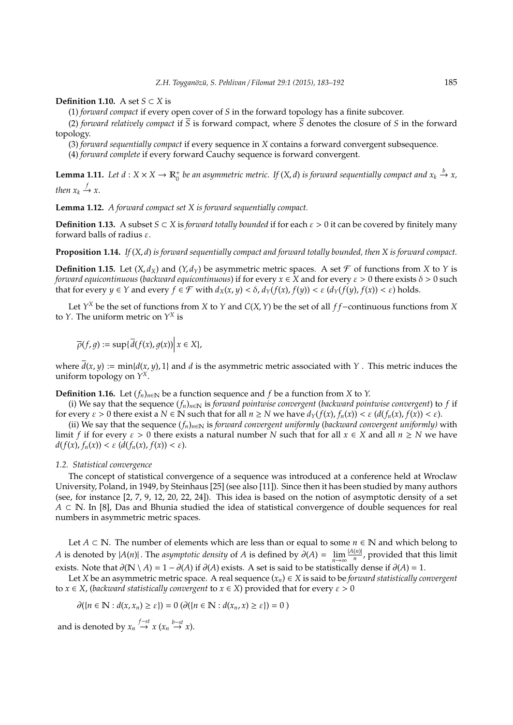#### **Definition 1.10.** A set *S* ⊂ *X* is

(1) *forward compact* if every open cover of *S* in the forward topology has a finite subcover.

(2) *forward relatively compact* if  $\overline{S}$  is forward compact, where  $\overline{S}$  denotes the closure of *S* in the forward topology.

(3) *forward sequentially compact* if every sequence in *X* contains a forward convergent subsequence.

(4) *forward complete* if every forward Cauchy sequence is forward convergent.

**Lemma 1.11.** Let  $d: X \times X \to \mathbb{R}_0^+$  be an asymmetric metric. If  $(X, d)$  is forward sequentially compact and  $x_k \stackrel{b}{\to} x$ , *then*  $x_k \stackrel{f}{\rightarrow} x$ .

**Lemma 1.12.** *A forward compact set X is forward sequentially compact.*

**Definition 1.13.** A subset  $S \subset X$  is *forward totally bounded* if for each  $\varepsilon > 0$  it can be covered by finitely many forward balls of radius  $\varepsilon$ .

**Proposition 1.14.** *If* (*X*, *d*) *is forward sequentially compact and forward totally bounded, then X is forward compact.*

**Definition 1.15.** Let  $(X, d_X)$  and  $(Y, d_Y)$  be asymmetric metric spaces. A set  $\mathcal F$  of functions from *X* to *Y* is *forward equicontinuous (backward equicontinuous)* if for every  $x \in X$  and for every  $\varepsilon > 0$  there exists  $\delta > 0$  such that for every  $y \in Y$  and every  $f \in \mathcal{F}$  with  $d_X(x, y) < \delta$ ,  $d_Y(f(x), f(y)) < \varepsilon$  ( $d_Y(f(y), f(x)) < \varepsilon$ ) holds.

Let *Y <sup>X</sup>* be the set of functions from *X* to *Y* and *C*(*X*,*Y*) be the set of all *f f*−continuous functions from *X* to *Y*. The uniform metric on *Y <sup>X</sup>* is

 $\overline{\rho}(f,g) := \sup{\overline{d}(f(x), g(x)) | x \in X}$ 

where  $d(x, y) := min\{d(x, y), 1\}$  and *d* is the asymmetric metric associated with *Y*. This metric induces the uniform topology on *Y X*.

#### **Definition 1.16.** Let  $(f_n)_{n \in \mathbb{N}}$  be a function sequence and *f* be a function from *X* to *Y*.

(i) We say that the sequence  $(f_n)_{n\in\mathbb{N}}$  is *forward pointwise convergent* (*backward pointwise convergent*) to *f* if for every  $\varepsilon > 0$  there exist a  $N \in \mathbb{N}$  such that for all  $n \geq N$  we have  $d_Y(f(x), f_n(x)) < \varepsilon$  ( $d(f_n(x), f(x)) < \varepsilon$ ).

(ii) We say that the sequence  $(f_n)_{n\in\mathbb{N}}$  is *forward convergent uniformly (backward convergent uniformly)* with limit *f* if for every  $\varepsilon > 0$  there exists a natural number *N* such that for all  $x \in X$  and all  $n \geq N$  we have  $d(f(x), f_n(x)) < \varepsilon \, (d(f_n(x), f(x)) < \varepsilon).$ 

## *1.2. Statistical convergence*

The concept of statistical convergence of a sequence was introduced at a conference held at Wroclaw University, Poland, in 1949, by Steinhaus [25] (see also [11]). Since then it has been studied by many authors (see, for instance [2, 7, 9, 12, 20, 22, 24]). This idea is based on the notion of asymptotic density of a set *A* ⊂ N. In [8], Das and Bhunia studied the idea of statistical convergence of double sequences for real numbers in asymmetric metric spaces.

Let *A*  $\subset$  N. The number of elements which are less than or equal to some *n*  $\in$  N and which belong to *A* is denoted by  $|A(n)|$ . The *asymptotic density* of *A* is defined by  $\frac{\partial}{\partial}(A) = \lim_{n \to \infty} \frac{|A(n)|}{n}$  $\frac{n(n)}{n}$ , provided that this limit exists. Note that  $\partial$ (**N** \ *A*) = 1 –  $\partial$ (*A*) if  $\partial$ (*A*) exists. A set is said to be statistically dense if  $\partial$ (*A*) = 1.

Let *X* be an asymmetric metric space. A real sequence  $(x_n) \in X$  is said to be *forward statistically convergent* to  $x \in X$ , (*backward statistically convergent* to  $x \in X$ ) provided that for every  $\varepsilon > 0$ 

 $\partial(\lbrace n \in \mathbb{N} : d(x, x_n) \ge \varepsilon \rbrace) = 0 \left( \partial(\lbrace n \in \mathbb{N} : d(x_n, x) \ge \varepsilon \rbrace) = 0 \right)$ 

and is denoted by  $x_n \stackrel{f-st}{\to} x$  ( $x_n \stackrel{b-st}{\to} x$ ).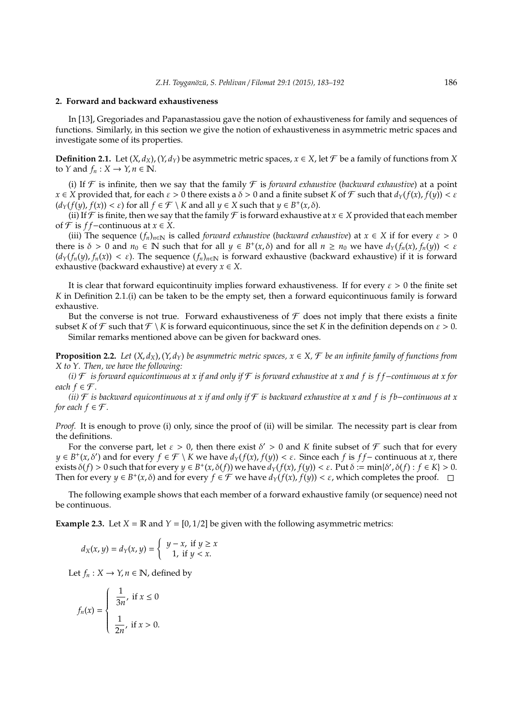### **2. Forward and backward exhaustiveness**

In [13], Gregoriades and Papanastassiou gave the notion of exhaustiveness for family and sequences of functions. Similarly, in this section we give the notion of exhaustiveness in asymmetric metric spaces and investigate some of its properties.

**Definition 2.1.** Let  $(X, d_X)$ ,  $(Y, d_Y)$  be asymmetric metric spaces,  $x \in X$ , let F be a family of functions from *X* to *Y* and  $f_n: X \to Y, n \in \mathbb{N}$ .

(i) If  $\mathcal F$  is infinite, then we say that the family  $\mathcal F$  is *forward exhaustive* (*backward exhaustive*) at a point  $x \in X$  provided that, for each  $\varepsilon > 0$  there exists a  $\delta > 0$  and a finite subset *K* of *F* such that  $d_Y(f(x), f(y)) < \varepsilon$  $(d_Y(f(y), f(x)) < \varepsilon)$  for all  $f \in \mathcal{F} \setminus K$  and all  $y \in X$  such that  $y \in B^+(x, \delta)$ .

(ii) If  $\mathcal F$  is finite, then we say that the family  $\mathcal F$  is forward exhaustive at  $x \in X$  provided that each member of F is *f f*−continuous at *x* ∈ *X*.

(iii) The sequence  $(f_n)_{n\in\mathbb{N}}$  is called *forward exhaustive* (*backward exhaustive*) at  $x \in X$  if for every  $\varepsilon > 0$ there is  $\delta > 0$  and  $n_0 \in \mathbb{N}$  such that for all  $y \in B^+(x,\delta)$  and for all  $n \ge n_0$  we have  $d_Y(f_n(x), f_n(y)) < \varepsilon$  $(d_Y(f_n(y), f_n(x)) < \varepsilon)$ . The sequence  $(f_n)_{n \in \mathbb{N}}$  is forward exhaustive (backward exhaustive) if it is forward exhaustive (backward exhaustive) at every  $x \in X$ .

It is clear that forward equicontinuity implies forward exhaustiveness. If for every  $\varepsilon > 0$  the finite set *K* in Definition 2.1.(i) can be taken to be the empty set, then a forward equicontinuous family is forward exhaustive.

But the converse is not true. Forward exhaustiveness of  $\mathcal F$  does not imply that there exists a finite subset *K* of *F* such that  $\mathcal{F} \setminus K$  is forward equicontinuous, since the set *K* in the definition depends on  $\varepsilon > 0$ .

Similar remarks mentioned above can be given for backward ones.

**Proposition 2.2.** *Let*  $(X, d_X)$ ,  $(Y, d_Y)$  *be asymmetric metric spaces,*  $x \in X$ ,  $\mathcal{F}$  *be an infinite family of functions from X to Y. Then, we have the following:*

*(i)* F *is forward equicontinuous at x if and only if* F *is forward exhaustive at x and f is f f*−*continuous at x for each*  $f \in \mathcal{F}$ *.* 

*(ii)* F *is backward equicontinuous at x if and only if* F *is backward exhaustive at x and f is f b*−*continuous at x for each*  $f \in \mathcal{F}$ *.* 

*Proof.* It is enough to prove (i) only, since the proof of (ii) will be similar. The necessity part is clear from the definitions.

For the converse part, let  $\varepsilon > 0$ , then there exist  $\delta' > 0$  and *K* finite subset of  $\mathcal F$  such that for every *y* ∈ *B*<sup>+</sup>(*x*, *δ*') and for every *f* ∈ *F* \ *K* we have  $d_Y(f(x), f(y)) < \varepsilon$ . Since each *f* is *f f*− continuous at *x*, there  $\epsilon$  exists  $\delta(f) > 0$  such that for every *y* ∈ *B*<sup>+</sup>(*x*, *δ*(*f*)) we have *d*<sub>*Y*</sub>(*f*(*x*), *f*(*y*)) < *ε*. Put *δ* := min{*δ'*, *δ*(*f*) : *f* ∈ *K*} > 0. Then for every  $y \in B^+(x, \delta)$  and for every  $f \in \mathcal{F}$  we have  $d_Y(f(x), f(y)) < \varepsilon$ , which completes the proof.

The following example shows that each member of a forward exhaustive family (or sequence) need not be continuous.

**Example 2.3.** Let  $X = \mathbb{R}$  and  $Y = [0, 1/2]$  be given with the following asymmetric metrics:

$$
d_X(x, y) = d_Y(x, y) = \begin{cases} y - x, & \text{if } y \ge x \\ 1, & \text{if } y < x. \end{cases}
$$

Let  $f_n: X \to Y, n \in \mathbb{N}$ , defined by

$$
f_n(x) = \begin{cases} \frac{1}{3n}, & \text{if } x \leq 0 \\ \frac{1}{2n}, & \text{if } x > 0. \end{cases}
$$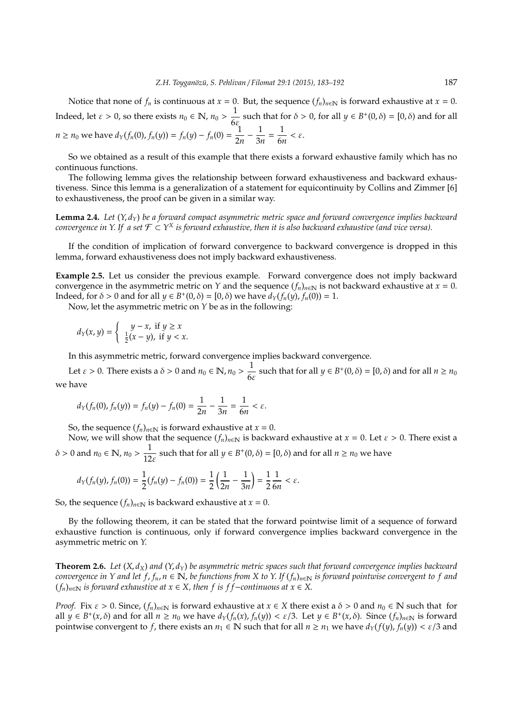Notice that none of  $f_n$  is continuous at  $x = 0$ . But, the sequence  $(f_n)_{n \in \mathbb{N}}$  is forward exhaustive at  $x = 0$ . Indeed, let  $\varepsilon > 0$ , so there exists  $n_0 \in \mathbb{N}$ ,  $n_0 > \frac{1}{\varepsilon}$  $\frac{1}{6\varepsilon}$  such that for  $\delta > 0$ , for all  $y \in B^+(0, \delta) = [0, \delta)$  and for all *n* ≥ *n*<sub>0</sub> we have  $d_Y(f_n(0), f_n(y)) = f_n(y) - f_n(0) = \frac{1}{2}$ 2*n* − 1  $rac{1}{3n} = \frac{1}{6n}$  $\frac{1}{6n} < \varepsilon$ .

So we obtained as a result of this example that there exists a forward exhaustive family which has no continuous functions.

The following lemma gives the relationship between forward exhaustiveness and backward exhaustiveness. Since this lemma is a generalization of a statement for equicontinuity by Collins and Zimmer [6] to exhaustiveness, the proof can be given in a similar way.

**Lemma 2.4.** *Let* (*Y*, *dY*) *be a forward compact asymmetric metric space and forward convergence implies backward*  $c$ onvergence in Y. If a set  $\mathcal{F}\subset Y^X$  is forward exhaustive, then it is also backward exhaustive (and vice versa).

If the condition of implication of forward convergence to backward convergence is dropped in this lemma, forward exhaustiveness does not imply backward exhaustiveness.

**Example 2.5.** Let us consider the previous example. Forward convergence does not imply backward convergence in the asymmetric metric on *Y* and the sequence  $(f_n)_{n\in\mathbb{N}}$  is not backward exhaustive at  $x = 0$ . Indeed, for  $\delta > 0$  and for all  $y \in B^+(0, \delta) = [0, \delta)$  we have  $d_Y(f_n(y), f_n(0)) = 1$ .

Now, let the asymmetric metric on *Y* be as in the following:

$$
d_Y(x, y) = \begin{cases} y - x, & \text{if } y \ge x \\ \frac{1}{2}(x - y), & \text{if } y < x. \end{cases}
$$

In this asymmetric metric, forward convergence implies backward convergence.

Let  $\varepsilon > 0$ . There exists a  $\delta > 0$  and  $n_0 \in \mathbb{N}$ ,  $n_0 > \frac{1}{\epsilon}$ .  $\frac{1}{6\varepsilon}$  such that for all  $y \in B^+(0, \delta) = [0, \delta)$  and for all  $n \ge n_0$ we have

$$
d_Y(f_n(0), f_n(y)) = f_n(y) - f_n(0) = \frac{1}{2n} - \frac{1}{3n} = \frac{1}{6n} < \varepsilon.
$$

So, the sequence  $(f_n)_{n \in \mathbb{N}}$  is forward exhaustive at  $x = 0$ .

Now, we will show that the sequence  $(f_n)_{n \in \mathbb{N}}$  is backward exhaustive at  $x = 0$ . Let  $\varepsilon > 0$ . There exist a  $\delta > 0$  and  $n_0 \in \mathbb{N}$ ,  $n_0 > \frac{1}{12}$  $\frac{1}{12\varepsilon}$  such that for all  $y \in B^+(0, \delta) = [0, \delta)$  and for all  $n \ge n_0$  we have

$$
d_Y(f_n(y),f_n(0))=\frac{1}{2}(f_n(y)-f_n(0))=\frac{1}{2}\left(\frac{1}{2n}-\frac{1}{3n}\right)=\frac{1}{2}\frac{1}{6n}<\varepsilon.
$$

So, the sequence  $(f_n)_{n \in \mathbb{N}}$  is backward exhaustive at  $x = 0$ .

By the following theorem, it can be stated that the forward pointwise limit of a sequence of forward exhaustive function is continuous, only if forward convergence implies backward convergence in the asymmetric metric on *Y*.

**Theorem 2.6.** *Let* (*X*, *dX*) *and* (*Y*, *dY*) *be asymmetric metric spaces such that forward convergence implies backward convergence in Y and let f, f<sub>n</sub>,*  $n \in \mathbb{N}$ *, be functions from X to Y. If*  $(f_n)_{n \in \mathbb{N}}$  *is forward pointwise convergent to f and*  $(f_n)_{n \in \mathbb{N}}$  *is forward exhaustive at*  $x \in X$ *, then f is ff*−*continuous at*  $x \in X$ .

*Proof.* Fix  $\varepsilon > 0$ . Since,  $(f_n)_{n \in \mathbb{N}}$  is forward exhaustive at  $x \in X$  there exist a  $\delta > 0$  and  $n_0 \in \mathbb{N}$  such that for all  $y \in B^+(x, \delta)$  and for all  $n \ge n_0$  we have  $d_Y(f_n(x), f_n(y)) < \varepsilon/3$ . Let  $y \in B^+(x, \delta)$ . Since  $(f_n)_{n \in \mathbb{N}}$  is forward pointwise convergent to *f*, there exists an  $n_1 \in \mathbb{N}$  such that for all  $n \ge n_1$  we have  $d_Y(f(y), f_n(y)) < \varepsilon/3$  and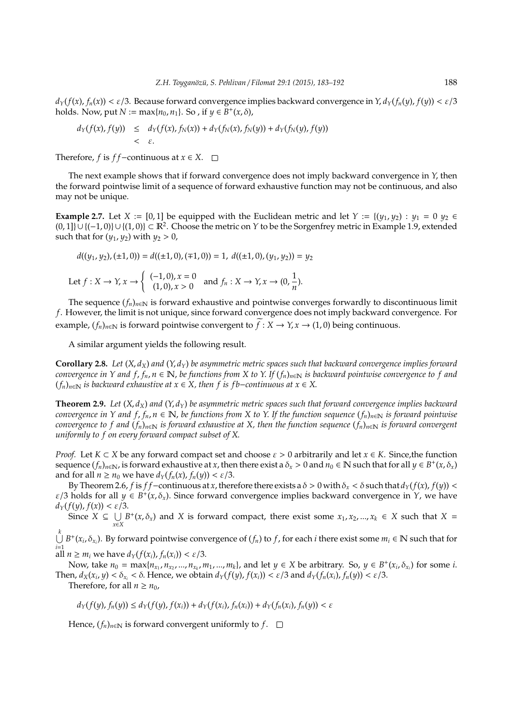*dY*(*f*(*x*), *fn*(*x*)) < ε/3. Because forward convergence implies backward convergence in *Y*, *dY*(*fn*(*y*), *f*(*y*)) < ε/3 holds. Now, put  $N := \max\{n_0, n_1\}$ . So , if  $y \in B^+(x, \delta)$ ,

$$
d_Y(f(x), f(y)) \leq d_Y(f(x), f_N(x)) + d_Y(f_N(x), f_N(y)) + d_Y(f_N(y), f(y))
$$
  
<  $\varepsilon$ .

Therefore, *f* is *f f*−continuous at  $x \in X$ . □

The next example shows that if forward convergence does not imply backward convergence in *Y*, then the forward pointwise limit of a sequence of forward exhaustive function may not be continuous, and also may not be unique.

**Example 2.7.** Let *X* := [0,1] be equipped with the Euclidean metric and let  $Y := \{(y_1, y_2) : y_1 = 0, y_2 \in \mathbb{R}\}$ (0, 1]}∪ {(−1, 0)}∪ {(1, 0)} ⊂ R<sup>2</sup> . Choose the metric on *Y* to be the Sorgenfrey metric in Example 1.9, extended such that for  $(y_1, y_2)$  with  $y_2 > 0$ ,

$$
d((y_1, y_2), (\pm 1, 0)) = d((\pm 1, 0), (\mp 1, 0)) = 1, d((\pm 1, 0), (y_1, y_2)) = y_2
$$
  
Let f: Y, Y, Z, Y =  $\int (-1, 0), x = 0$  and f: Y, Y, Z, Y

Let 
$$
f: X \to Y
$$
,  $x \to \begin{cases} (-1,0), x = 0 \\ (1,0), x > 0 \end{cases}$  and  $f_n: X \to Y$ ,  $x \to (0, \frac{1}{n})$ .

The sequence  $(f_n)_{n\in\mathbb{N}}$  is forward exhaustive and pointwise converges forwardly to discontinuous limit *f*. However, the limit is not unique, since forward convergence does not imply backward convergence. For example,  $(f_n)_{n\in\mathbb{N}}$  is forward pointwise convergent to  $f: X \to Y, x \to (1,0)$  being continuous.

A similar argument yields the following result.

**Corollary 2.8.** Let  $(X, d_X)$  and  $(Y, d_Y)$  be asymmetric metric spaces such that backward convergence implies forward *convergence in Y and f, f<sub>n</sub>,*  $n \in \mathbb{N}$ *, be functions from X to Y. If*  $(f_n)_{n \in \mathbb{N}}$  *is backward pointwise convergence to f and*  $(f_n)_{n \in \mathbb{N}}$  *is backward exhaustive at*  $x \in X$ *, then f is fb*−*continuous at*  $x \in X$ .

**Theorem 2.9.** Let  $(X, d_X)$  and  $(Y, d_Y)$  be asymmetric metric spaces such that forward convergence implies backward *convergence in Y and f,*  $f_n$ *,*  $n \in \mathbb{N}$ *, be functions from X to Y. If the function sequence*  $(f_n)_{n \in \mathbb{N}}$  *<i>is forward pointwise convergence to f and*  $(f_n)_{n\in\mathbb{N}}$  *is forward exhaustive at X, then the function sequence*  $(f_n)_{n\in\mathbb{N}}$  *is forward convergent uniformly to f on every forward compact subset of X*.

*Proof.* Let  $K \subset X$  be any forward compact set and choose  $\varepsilon > 0$  arbitrarily and let  $x \in K$ . Since, the function sequence  $(f_n)_{n\in\mathbb{N}}$ , is forward exhaustive at *x*, then there exist a  $\delta_x>0$  and  $n_0\in\mathbb{N}$  such that for all  $y\in B^+(x,\delta_x)$ and for all  $n \ge n_0$  we have  $d_Y(f_n(x), f_n(y)) < \varepsilon/3$ .

By Theorem 2.6, *f* is *f* f−continuous at *x*, therefore there exists a  $\delta > 0$  with  $\delta_x < \delta$  such that  $d_y(f(x), f(y))$  <  $\varepsilon/3$  holds for all  $y \in B^+(x,\delta_x)$ . Since forward convergence implies backward convergence in *Y*, we have  $d_Y(f(y), f(x)) < \varepsilon/3$ .

Since  $X \subseteq \cup$  $∪$  *B*<sup>+</sup>(*x*, *δ*<sub>*x*</sub>) and *X* is forward compact, there exist some *x*<sub>1</sub>, *x*<sub>2</sub>, ..., *x*<sub>*k*</sub> ∈ *X* such that *X* =

*k*  $\bigcup B$ <sup>+</sup>( $x_i, \delta_{x_i}$ ). By forward pointwise convergence of ( $f_n$ ) to  $f$ , for each *i* there exist some  $m_i$  ∈  $\mathbb N$  such that for all  $n \geq m_i$  we have  $d_Y(f(x_i), f_n(x_i)) < \varepsilon/3$ .

Now, take  $n_0 = \max\{n_{x_1}, n_{x_2}, ..., n_{x_k}, m_1, ..., m_k\}$ , and let  $y \in X$  be arbitrary. So,  $y \in B^+(x_i, \delta_{x_i})$  for some *i*. Then,  $d_X(x_i, y) < \delta_{x_i} < \delta$ . Hence, we obtain  $d_Y(f(y), f(x_i)) < \varepsilon/3$  and  $d_Y(f_n(x_i), f_n(y)) < \varepsilon/3$ .

Therefore, for all  $n \geq n_0$ ,

 $d_Y(f(y), f_n(y)) \le d_Y(f(y), f(x_i)) + d_Y(f(x_i), f_n(x_i)) + d_Y(f_n(x_i), f_n(y)) < \varepsilon$ 

Hence,  $(f_n)_{n \in \mathbb{N}}$  is forward convergent uniformly to  $f$ .  $\Box$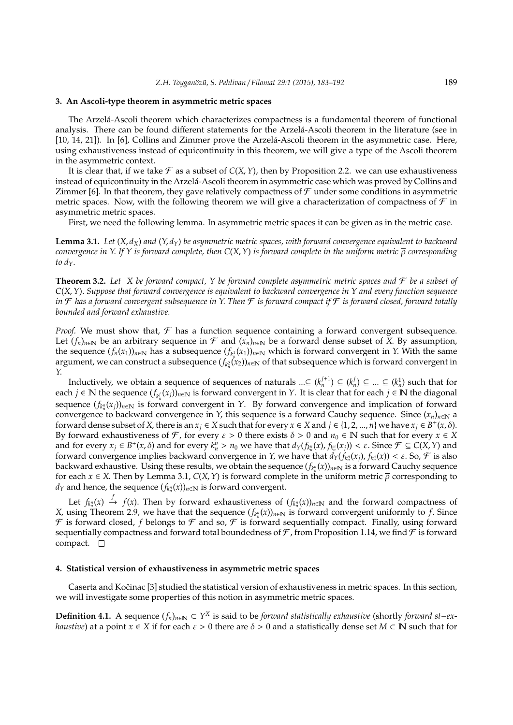#### **3. An Ascoli-type theorem in asymmetric metric spaces**

The Arzela-Ascoli theorem which characterizes compactness is a fundamental theorem of functional ´ analysis. There can be found different statements for the Arzela-Ascoli theorem in the literature (see in ´ [10, 14, 21]). In [6], Collins and Zimmer prove the Arzelá-Ascoli theorem in the asymmetric case. Here, using exhaustiveness instead of equicontinuity in this theorem, we will give a type of the Ascoli theorem in the asymmetric context.

It is clear that, if we take  $\mathcal F$  as a subset of  $C(X, Y)$ , then by Proposition 2.2. we can use exhaustiveness instead of equicontinuity in the Arzelá-Ascoli theorem in asymmetric case which was proved by Collins and Zimmer [6]. In that theorem, they gave relatively compactness of  $\mathcal F$  under some conditions in asymmetric metric spaces. Now, with the following theorem we will give a characterization of compactness of  $\mathcal F$  in asymmetric metric spaces.

First, we need the following lemma. In asymmetric metric spaces it can be given as in the metric case.

**Lemma 3.1.** Let  $(X, d_X)$  and  $(Y, d_Y)$  be asymmetric metric spaces, with forward convergence equivalent to backward *convergence in Y*. *If Y is forward complete, then C*(*X*,*Y*) *is forward complete in the uniform metric* ρ *corresponding to*  $d<sub>Y</sub>$ .

**Theorem 3.2.** *Let X be forward compact, Y be forward complete asymmetric metric spaces and* F *be a subset of C*(*X*,*Y*). *Suppose that forward convergence is equivalent to backward convergence in Y and every function sequence in* F *has a forward convergent subsequence in Y*. *Then* F *is forward compact if* F *is forward closed, forward totally bounded and forward exhaustive.*

*Proof.* We must show that,  $\mathcal F$  has a function sequence containing a forward convergent subsequence. Let  $(f_n)_{n\in\mathbb{N}}$  be an arbitrary sequence in  $\mathcal F$  and  $(x_n)_{n\in\mathbb{N}}$  be a forward dense subset of *X*. By assumption, the sequence  $(f_n(x_1))_{n\in\mathbb{N}}$  has a subsequence  $(f_{k_n^1}(x_1))_{n\in\mathbb{N}}$  which is forward convergent in *Y*. With the same argument, we can construct a subsequence  $(f_{k_n^2}(x_2))_{n\in\mathbb{N}}$  of that subsequence which is forward convergent in *Y*.

Inductively, we obtain a sequence of sequences of naturals ...  $\subseteq (k_n^{j+1}) \subseteq (k_n^j) \subseteq ... \subseteq (k_n^1)$  such that for each *j* ∈ N the sequence  $(f_{k_n'}(x_j))_{n \in \mathbb{N}}$  is forward convergent in *Y*. It is clear that for each *j* ∈ N the diagonal sequence  $(f_{k_n^u}(x_j))_{n \in \mathbb{N}}$  is forward convergent in *Y*. By forward convergence and implication of forward convergence to backward convergence in *Y*, this sequence is a forward Cauchy sequence. Since  $(x_n)_{n\in\mathbb{N}}$  a forward dense subset of *X*, there is an  $x_j \in X$  such that for every  $x \in X$  and  $j \in \{1, 2, ..., n\}$  we have  $x_j \in B^+(x, \delta)$ . By forward exhaustiveness of F, for every  $\varepsilon > 0$  there exists  $\delta > 0$  and  $n_0 \in \mathbb{N}$  such that for every  $x \in X$ and for every  $x_j \in B^+(x, \delta)$  and for every  $k_n^n > n_0$  we have that  $d_Y(f_{k_n^n}(x), f_{k_n^n}(x_j)) < \varepsilon$ . Since  $\mathcal{F} \subseteq C(X, Y)$  and forward convergence implies backward convergence in *Y*, we have that  $d_Y(f_{k_n^n}(x_j), f_{k_n^n}(x)) < \varepsilon$ . So,  $\mathcal F$  is also backward exhaustive. Using these results, we obtain the sequence  $(f_{k_n^u}(x))_{n\in \mathbb N}$  is a forward Cauchy sequence for each  $x \in X$ . Then by Lemma 3.1,  $C(X, Y)$  is forward complete in the uniform metric  $\overline{\rho}$  corresponding to  $d_Y$  and hence, the sequence  $(f_{k_n^{\eta}}(x))_{n\in\mathbb{N}}$  is forward convergent.

Let  $f_{k_n^u}(x) \stackrel{f}{\to} f(x)$ . Then by forward exhaustiveness of  $(f_{k_n^u}(x))_{n\in\mathbb{N}}$  and the forward compactness of *X*, using Theorem 2.9, we have that the sequence  $(f_{k_n^n}(x))_{n\in\mathbb{N}}$  is forward convergent uniformly to *f*. Since  $\mathcal F$  is forward closed,  $f$  belongs to  $\mathcal F$  and so,  $\mathcal F$  is forward sequentially compact. Finally, using forward sequentially compactness and forward total boundedness of  $\mathcal F$ , from Proposition 1.14, we find  $\mathcal F$  is forward compact.

## **4. Statistical version of exhaustiveness in asymmetric metric spaces**

Caserta and Kočinac [3] studied the statistical version of exhaustiveness in metric spaces. In this section, we will investigate some properties of this notion in asymmetric metric spaces.

**Definition 4.1.** A sequence  $(f_n)_{n \in \mathbb{N}}$  ⊂  $Y^X$  is said to be *forward statistically exhaustive* (shortly *forward st*−*exhaustive*) at a point  $x \in X$  if for each  $\varepsilon > 0$  there are  $\delta > 0$  and a statistically dense set *M* ⊂ N such that for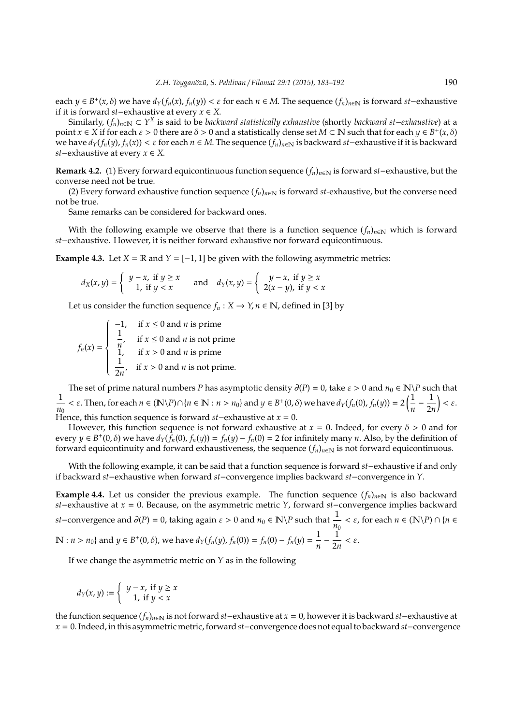each  $y \in B^+(x, \delta)$  we have  $d_Y(f_n(x), f_n(y)) < \varepsilon$  for each  $n \in M$ . The sequence  $(f_n)_{n \in \mathbb{N}}$  is forward st-exhaustive if it is forward *st*−exhaustive at every *x* ∈ *X*.

Similarly, (*fn*)*n*∈<sup>N</sup> ⊂ *Y <sup>X</sup>* is said to be *backward statistically exhaustive* (shortly *backward st*−*exhaustive*) at a point  $x \in X$  if for each  $\varepsilon > 0$  there are  $\delta > 0$  and a statistically dense set  $M \subset \mathbb{N}$  such that for each  $y \in B^+(x, \delta)$ we have  $d_Y(f_n(y), f_n(x)) < ε$  for each *n* ∈ *M*. The sequence  $(f_n)_{n \in \mathbb{N}}$  is backward *st*−exhaustive if it is backward *st*−exhaustive at every *x* ∈ *X*.

**Remark 4.2.** (1) Every forward equicontinuous function sequence  $(f_n)_{n\in\mathbb{N}}$  is forward *st*−exhaustive, but the converse need not be true.

(2) Every forward exhaustive function sequence  $(f_n)_{n\in\mathbb{N}}$  is forward *st*-exhaustive, but the converse need not be true.

Same remarks can be considered for backward ones.

With the following example we observe that there is a function sequence  $(f_n)_{n\in\mathbb{N}}$  which is forward *st*−exhaustive. However, it is neither forward exhaustive nor forward equicontinuous.

**Example 4.3.** Let  $X = \mathbb{R}$  and  $Y = [-1, 1]$  be given with the following asymmetric metrics:

$$
d_X(x, y) = \begin{cases} y - x, & \text{if } y \ge x \\ 1, & \text{if } y < x \end{cases} \quad \text{and} \quad d_Y(x, y) = \begin{cases} y - x, & \text{if } y \ge x \\ 2(x - y), & \text{if } y < x \end{cases}
$$

Let us consider the function sequence  $f_n : X \to Y$ ,  $n \in \mathbb{N}$ , defined in [3] by

 $f_n(x) =$  $\int -1$ , if  $x \le 0$  and *n* is prime  $\Bigg\}$  $\begin{array}{|c|c|} \hline \rule{0pt}{12pt} \rule{0pt}{2.5pt} \rule{0pt}{2.5pt} \rule{0pt}{2.5pt} \rule{0pt}{2.5pt} \rule{0pt}{2.5pt} \rule{0pt}{2.5pt} \rule{0pt}{2.5pt} \rule{0pt}{2.5pt} \rule{0pt}{2.5pt} \rule{0pt}{2.5pt} \rule{0pt}{2.5pt} \rule{0pt}{2.5pt} \rule{0pt}{2.5pt} \rule{0pt}{2.5pt} \rule{0pt}{2.5pt} \rule{0pt}{2.5pt} \rule{0pt}{2.5pt} \rule{0pt}{2.5$ 1  $\frac{1}{n}$ , if  $x \le 0$  and *n* is not prime 1, if  $x > 0$  and *n* is prime 1  $\frac{1}{2n}$ , if  $x > 0$  and *n* is not prime.

The set of prime natural numbers *P* has asymptotic density  $\partial(P) = 0$ , take  $\varepsilon > 0$  and  $n_0 \in \mathbb{N} \backslash P$  such that 1  $\frac{1}{n_0} < \varepsilon$ . Then, for each  $n \in (\mathbb{N} \setminus P) \cap \{n \in \mathbb{N} : n > n_0\}$  and  $y \in B^+(0, \delta)$  we have  $d_Y(f_n(0), f_n(y)) = 2\left(\frac{1}{n_0}\right)$ *n* − 1 2*n*  $\epsilon$ . Hence, this function sequence is forward *st*−exhaustive at *x* = 0.

However, this function sequence is not forward exhaustive at  $x = 0$ . Indeed, for every  $\delta > 0$  and for every  $y \in B^+(0,\delta)$  we have  $d_Y(\hat{f}_n(0), f_n(y)) = f_n(y) - f_n(0) = 2$  for infinitely many *n*. Also, by the definition of forward equicontinuity and forward exhaustiveness, the sequence  $(f_n)_{n\in\mathbb{N}}$  is not forward equicontinuous.

With the following example, it can be said that a function sequence is forward *st*−exhaustive if and only if backward *st*−exhaustive when forward *st*−convergence implies backward *st*−convergence in *Y*.

**Example 4.4.** Let us consider the previous example. The function sequence  $(f_n)_{n\in\mathbb{N}}$  is also backward *st*−exhaustive at *x* = 0. Because, on the asymmetric metric *Y*, forward *st*−convergence implies backward *st*−convergence and  $\partial(P) = 0$ , taking again  $\varepsilon > 0$  and  $n_0 \in \mathbb{N} \setminus P$  such that  $\frac{1}{n_0} < \varepsilon$ , for each  $n \in (\mathbb{N} \setminus P) \cap \{n \in \mathbb{N} \setminus P\}$  $\mathbb{N}$  : *n* > *n*<sub>0</sub>} and *y* ∈ *B*<sup>+</sup>(0, δ), we have  $d_Y(f_n(y), f_n(0)) = f_n(0) - f_n(y) = \frac{1}{n}$ *n* − 1  $\frac{1}{2n} < \varepsilon$ .

If we change the asymmetric metric on *Y* as in the following

$$
d_Y(x, y) := \begin{cases} y - x, & \text{if } y \ge x \\ 1, & \text{if } y < x \end{cases}
$$

the function sequence  $(f_n)_{n \in \mathbb{N}}$  is not forward *st*−exhaustive at *x* = 0, however it is backward *st*−exhaustive at *x* = 0.Indeed, in this asymmetric metric, forward*st*−convergence does not equal to backward*st*−convergence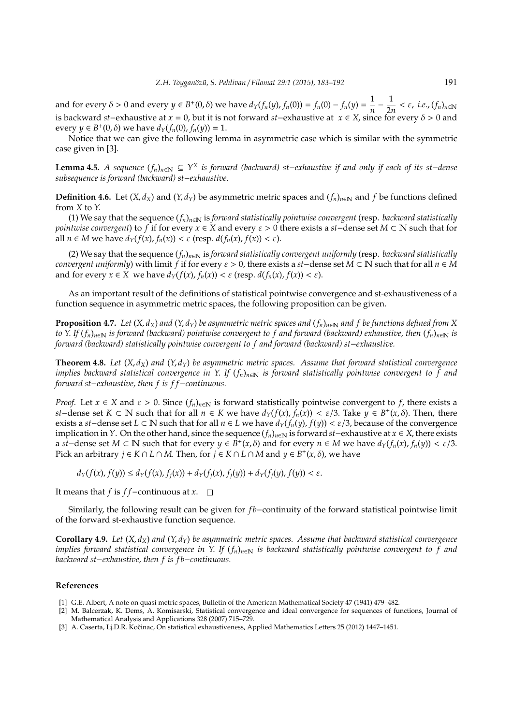and for every  $\delta > 0$  and every  $y \in B^+(0, \delta)$  we have  $d_Y(f_n(y), f_n(0)) = f_n(0) - f_n(y) = \frac{1}{n}$ *n* − 1  $\frac{1}{2n} < \varepsilon$ , *i.e.*,  $(f_n)_{n \in \mathbb{N}}$ is backward *st*−exhaustive at *x* = 0, but it is not forward *st*−exhaustive at *x* ∈ *X*, since for every δ > 0 and every *y* ∈ *B*<sup>+</sup>(0, δ) we have  $d_Y(f_n(0), f_n(y)) = 1$ .

Notice that we can give the following lemma in asymmetric case which is similar with the symmetric case given in [3].

**Lemma 4.5.** *A sequence* (*fn*)*n*∈<sup>N</sup> ⊆ *Y <sup>X</sup> is forward (backward) st*−*exhaustive if and only if each of its st*−*dense subsequence is forward (backward) st*−*exhaustive.*

**Definition 4.6.** Let  $(X, d_X)$  and  $(Y, d_Y)$  be asymmetric metric spaces and  $(f_n)_{n \in \mathbb{N}}$  and  $f$  be functions defined from *X* to *Y*.

(1) We say that the sequence  $(f_n)_{n\in\mathbb{N}}$  is *forward statistically pointwise convergent* (resp. *backward statistically pointwise convergent*) to *f* if for every *x* ∈ *X* and every ε > 0 there exists a *st*−dense set *M* ⊂ N such that for all  $n \in M$  we have  $d_Y(f(x), f_n(x)) < \varepsilon$  (resp.  $d(f_n(x), f(x)) < \varepsilon$ ).

(2) We say that the sequence  $(f_n)_{n\in\mathbb{N}}$  is *forward statistically convergent uniformly* (resp. *backward statistically convergent uniformly*) with limit *f* if for every  $\varepsilon > 0$ , there exists a *st*−dense set  $M \subset \mathbb{N}$  such that for all  $n \in M$ and for every  $x \in X$  we have  $d_Y(f(x), f_n(x)) < \varepsilon$  (resp.  $d(f_n(x), f(x)) < \varepsilon$ ).

As an important result of the definitions of statistical pointwise convergence and st-exhaustiveness of a function sequence in asymmetric metric spaces, the following proposition can be given.

**Proposition 4.7.** *Let*  $(X, d_X)$  *and*  $(Y, d_Y)$  *be asymmetric metric spaces and*  $(f_n)_{n \in \mathbb{N}}$  *and*  $f$  *be functions defined from* X *to Y. If*  $(f_n)_{n\in\mathbb{N}}$  *is forward (backward) pointwise convergent to f and forward (backward) exhaustive, then*  $(f_n)_{n\in\mathbb{N}}$  *is forward (backward) statistically pointwise convergent to f and forward (backward) st−exhaustive.* 

**Theorem 4.8.** *Let* (*X*, *dX*) *and* (*Y*, *dY*) *be asymmetric metric spaces. Assume that forward statistical convergence implies backward statistical convergence in Y. If*  $(f_n)_{n \in \mathbb{N}}$  *is forward statistically pointwise convergent to f and forward st*−*exhaustive, then f is f f*−*continuous.*

*Proof.* Let  $x \in X$  and  $\varepsilon > 0$ . Since  $(f_n)_{n \in \mathbb{N}}$  is forward statistically pointwise convergent to f, there exists a *st*−dense set *K* ⊂ **N** such that for all *n* ∈ *K* we have  $d_Y(f(x), f_n(x)) < ε/3$ . Take  $y ∈ B^+(x, δ)$ . Then, there exists a *st*−dense set *L* ⊂ N such that for all *n* ∈ *L* we have *dY*(*fn*(*y*), *f*(*y*)) < ε/3, because of the convergence implication in *Y*. On the other hand, since the sequence  $(f_n)_{n \in \mathbb{N}}$  is forward *st*−exhaustive at *x* ∈ *X*, there exists a *st*−dense set  $M \subset \mathbb{N}$  such that for every  $y \in \overline{B}^+(x,\delta)$  and for every  $n \in M$  we have  $d_Y(f_n(x), f_n(y)) < \varepsilon/3$ . *Pick an arbitrary*  $j$  *∈*  $K \cap L \cap M$ *. Then, for*  $j \in K \cap L \cap M$  *and*  $y \in B^+(x, \delta)$ *, we have* 

 $d_Y(f(x), f(y)) \le d_Y(f(x), f_i(x)) + d_Y(f_i(x), f_i(y)) + d_Y(f_i(y), f(y)) < \varepsilon.$ 

It means that *f* is *f f*−continuous at *x*.

Similarly, the following result can be given for *fb*−continuity of the forward statistical pointwise limit of the forward st-exhaustive function sequence.

**Corollary 4.9.** Let  $(X, d_X)$  and  $(Y, d_Y)$  be asymmetric metric spaces. Assume that backward statistical convergence *implies forward statistical convergence in Y*. *If* (*fn*)*n*∈<sup>N</sup> *is backward statistically pointwise convergent to f and backward st*−*exhaustive, then f is f b*−*continuous.*

## **References**

- [1] G.E. Albert, A note on quasi metric spaces, Bulletin of the American Mathematical Society 47 (1941) 479–482.
- [2] M. Balcerzak, K. Dems, A. Komisarski, Statistical convergence and ideal convergence for sequences of functions, Journal of Mathematical Analysis and Applications 328 (2007) 715–729.
- [3] A. Caserta, Lj.D.R. Kočinac, On statistical exhaustiveness, Applied Mathematics Letters 25 (2012) 1447-1451.